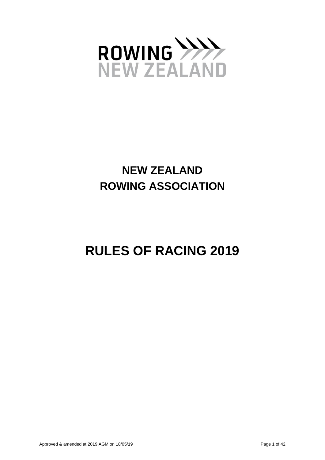

# **NEW ZEALAND ROWING ASSOCIATION**

# **RULES OF RACING 2019**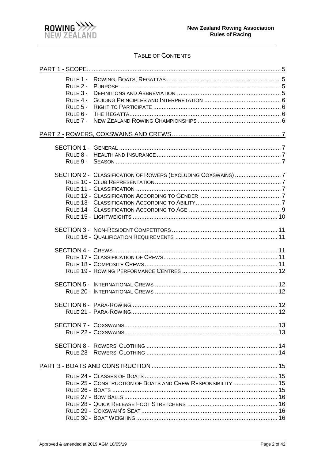

# TABLE OF CONTENTS

| RULE 1 -<br>$R$ ULF $2 -$<br>RULE 3 -<br>RULE 4 -<br>RULE 5 -<br>RULE 6 -<br>RULE 7 - |                                                              |  |
|---------------------------------------------------------------------------------------|--------------------------------------------------------------|--|
|                                                                                       |                                                              |  |
|                                                                                       |                                                              |  |
|                                                                                       | SECTION 2 - CLASSIFICATION OF ROWERS (EXCLUDING COXSWAINS) 7 |  |
|                                                                                       |                                                              |  |
|                                                                                       |                                                              |  |
|                                                                                       |                                                              |  |
|                                                                                       |                                                              |  |
|                                                                                       |                                                              |  |
|                                                                                       |                                                              |  |
|                                                                                       |                                                              |  |
|                                                                                       | RULE 25 - CONSTRUCTION OF BOATS AND CREW RESPONSIBILITY  15  |  |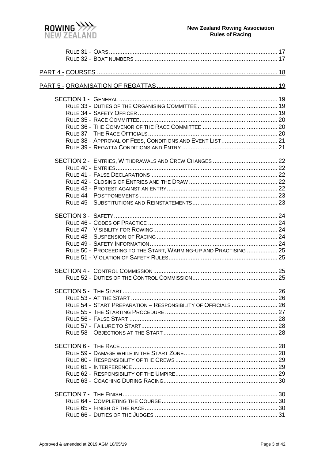

| RULE 38 - APPROVAL OF FEES, CONDITIONS AND EVENT LIST 21         |  |
|------------------------------------------------------------------|--|
|                                                                  |  |
|                                                                  |  |
|                                                                  |  |
|                                                                  |  |
|                                                                  |  |
|                                                                  |  |
|                                                                  |  |
|                                                                  |  |
|                                                                  |  |
|                                                                  |  |
|                                                                  |  |
|                                                                  |  |
|                                                                  |  |
| RULE 50 - PROCEEDING TO THE START, WARMING-UP AND PRACTISING  25 |  |
|                                                                  |  |
|                                                                  |  |
|                                                                  |  |
|                                                                  |  |
|                                                                  |  |
| RULE 54 - START PREPARATION - RESPONSIBILITY OF OFFICIALS  26    |  |
|                                                                  |  |
|                                                                  |  |
|                                                                  |  |
|                                                                  |  |
|                                                                  |  |
|                                                                  |  |
|                                                                  |  |
|                                                                  |  |
|                                                                  |  |
|                                                                  |  |
|                                                                  |  |
|                                                                  |  |
|                                                                  |  |
|                                                                  |  |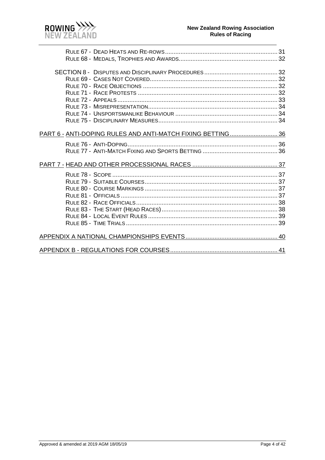

| PART 6 - ANTI-DOPING RULES AND ANTI-MATCH FIXING BETTING 36 |  |
|-------------------------------------------------------------|--|
|                                                             |  |
|                                                             |  |
|                                                             |  |
|                                                             |  |
|                                                             |  |
|                                                             |  |
|                                                             |  |
|                                                             |  |
|                                                             |  |
|                                                             |  |
|                                                             |  |
|                                                             |  |
|                                                             |  |
|                                                             |  |
|                                                             |  |
|                                                             |  |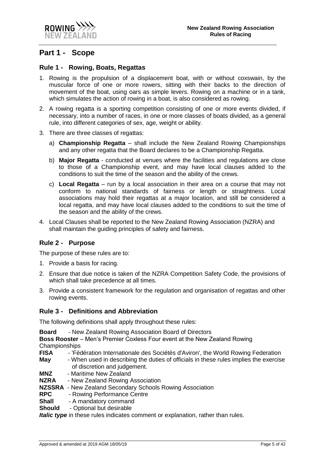

# <span id="page-4-0"></span>**Part 1 - Scope**

#### <span id="page-4-1"></span>**Rule 1 - Rowing, Boats, Regattas**

- 1. Rowing is the propulsion of a displacement boat, with or without coxswain, by the muscular force of one or more rowers, sitting with their backs to the direction of movement of the boat, using oars as simple levers. Rowing on a machine or in a tank, which simulates the action of rowing in a boat, is also considered as rowing.
- 2. A rowing regatta is a sporting competition consisting of one or more events divided, if necessary, into a number of races, in one or more classes of boats divided, as a general rule, into different categories of sex, age, weight or ability.
- 3. There are three classes of regattas:
	- a) **Championship Regatta** shall include the New Zealand Rowing Championships and any other regatta that the Board declares to be a Championship Regatta.
	- b) **Major Regatta** conducted at venues where the facilities and regulations are close to those of a Championship event, and may have local clauses added to the conditions to suit the time of the season and the ability of the crews.
	- c) **Local Regatta** run by a local association in their area on a course that may not conform to national standards of fairness or length or straightness. Local associations may hold their regattas at a major location, and still be considered a local regatta, and may have local clauses added to the conditions to suit the time of the season and the ability of the crews.
- 4. Local Clauses shall be reported to the New Zealand Rowing Association (NZRA) and shall maintain the guiding principles of safety and fairness.

#### <span id="page-4-2"></span>**Rule 2 - Purpose**

The purpose of these rules are to:

- 1. Provide a basis for racing.
- 2. Ensure that due notice is taken of the NZRA Competition Safety Code, the provisions of which shall take precedence at all times.
- 3. Provide a consistent framework for the regulation and organisation of regattas and other rowing events.

#### <span id="page-4-3"></span>**Rule 3 - Definitions and Abbreviation**

The following definitions shall apply throughout these rules:

**Board** - New Zealand Rowing Association Board of Directors

**Boss Rooster** – Men's Premier Coxless Four event at the New Zealand Rowing Championships

- **FISA** 'Fédération Internationale des Sociétés d'Aviron', the World Rowing Federation
- **May** When used in describing the duties of officials in these rules implies the exercise of discretion and judgement.
- **MNZ** Maritime New Zealand
- **NZRA** New Zealand Rowing Association
- **NZSSRA** New Zealand Secondary Schools Rowing Association
- **RPC** Rowing Performance Centre
- **Shall** A mandatory command
- **Should** Optional but desirable

**Italic type** in these rules indicates comment or explanation, rather than rules.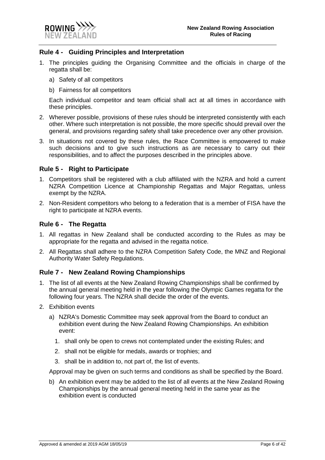

#### <span id="page-5-0"></span>**Rule 4 - Guiding Principles and Interpretation**

- 1. The principles guiding the Organising Committee and the officials in charge of the regatta shall be:
	- a) Safety of all competitors
	- b) Fairness for all competitors

Each individual competitor and team official shall act at all times in accordance with these principles.

- 2. Wherever possible, provisions of these rules should be interpreted consistently with each other. Where such interpretation is not possible, the more specific should prevail over the general, and provisions regarding safety shall take precedence over any other provision.
- 3. In situations not covered by these rules, the Race Committee is empowered to make such decisions and to give such instructions as are necessary to carry out their responsibilities, and to affect the purposes described in the principles above.

#### <span id="page-5-1"></span>**Rule 5 - Right to Participate**

- 1. Competitors shall be registered with a club affiliated with the NZRA and hold a current NZRA Competition Licence at Championship Regattas and Major Regattas, unless exempt by the NZRA.
- 2. Non-Resident competitors who belong to a federation that is a member of FISA have the right to participate at NZRA events.

#### <span id="page-5-2"></span>**Rule 6 - The Regatta**

- 1. All regattas in New Zealand shall be conducted according to the Rules as may be appropriate for the regatta and advised in the regatta notice.
- 2. All Regattas shall adhere to the NZRA Competition Safety Code, the MNZ and Regional Authority Water Safety Regulations.

#### <span id="page-5-3"></span>**Rule 7 - New Zealand Rowing Championships**

- 1. The list of all events at the New Zealand Rowing Championships shall be confirmed by the annual general meeting held in the year following the Olympic Games regatta for the following four years. The NZRA shall decide the order of the events.
- 2. Exhibition events
	- a) NZRA's Domestic Committee may seek approval from the Board to conduct an exhibition event during the New Zealand Rowing Championships. An exhibition event:
		- 1. shall only be open to crews not contemplated under the existing Rules; and
		- 2. shall not be eligible for medals, awards or trophies; and
		- 3. shall be in addition to, not part of, the list of events.

Approval may be given on such terms and conditions as shall be specified by the Board.

b) An exhibition event may be added to the list of all events at the New Zealand Rowing Championships by the annual general meeting held in the same year as the exhibition event is conducted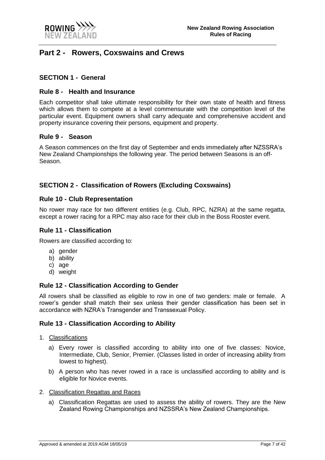

# <span id="page-6-0"></span>**Part 2 - Rowers, Coxswains and Crews**

#### <span id="page-6-1"></span>**SECTION 1 - General**

#### <span id="page-6-2"></span>**Rule 8 - Health and Insurance**

Each competitor shall take ultimate responsibility for their own state of health and fitness which allows them to compete at a level commensurate with the competition level of the particular event. Equipment owners shall carry adequate and comprehensive accident and property insurance covering their persons, equipment and property.

#### <span id="page-6-3"></span>**Rule 9 - Season**

A Season commences on the first day of September and ends immediately after NZSSRA's New Zealand Championships the following year. The period between Seasons is an off-Season.

#### <span id="page-6-4"></span>**SECTION 2 - Classification of Rowers (Excluding Coxswains)**

#### <span id="page-6-5"></span>**Rule 10 - Club Representation**

No rower may race for two different entities (e.g. Club, RPC, NZRA) at the same regatta, except a rower racing for a RPC may also race for their club in the Boss Rooster event.

#### <span id="page-6-6"></span>**Rule 11 - Classification**

Rowers are classified according to:

- a) gender
- b) ability
- c) age
- d) weight

#### <span id="page-6-7"></span>**Rule 12 - Classification According to Gender**

All rowers shall be classified as eligible to row in one of two genders: male or female. A rower's gender shall match their sex unless their gender classification has been set in accordance with NZRA's Transgender and Transsexual Policy.

#### <span id="page-6-8"></span>**Rule 13 - Classification According to Ability**

- 1. Classifications
	- a) Every rower is classified according to ability into one of five classes: Novice, Intermediate, Club, Senior, Premier. (Classes listed in order of increasing ability from lowest to highest).
	- b) A person who has never rowed in a race is unclassified according to ability and is eligible for Novice events.
- 2. Classification Regattas and Races
	- a) Classification Regattas are used to assess the ability of rowers. They are the New Zealand Rowing Championships and NZSSRA's New Zealand Championships.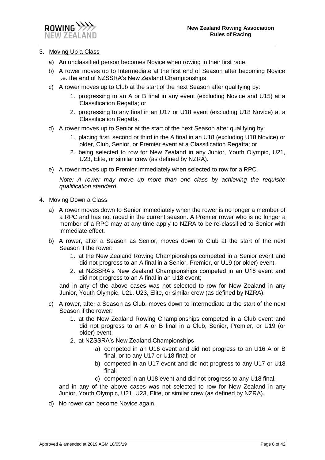

#### 3. Moving Up a Class

- a) An unclassified person becomes Novice when rowing in their first race.
- b) A rower moves up to Intermediate at the first end of Season after becoming Novice i.e. the end of NZSSRA's New Zealand Championships.
- c) A rower moves up to Club at the start of the next Season after qualifying by:
	- 1. progressing to an A or B final in any event (excluding Novice and U15) at a Classification Regatta; or
	- 2. progressing to any final in an U17 or U18 event (excluding U18 Novice) at a Classification Regatta.
- d) A rower moves up to Senior at the start of the next Season after qualifying by:
	- 1. placing first, second or third in the A final in an U18 (excluding U18 Novice) or older, Club, Senior, or Premier event at a Classification Regatta; or
	- 2. being selected to row for New Zealand in any Junior, Youth Olympic, U21, U23, Elite, or similar crew (as defined by NZRA).
- e) A rower moves up to Premier immediately when selected to row for a RPC.

*Note: A rower may move up more than one class by achieving the requisite qualification standard.*

- 4. Moving Down a Class
	- a) A rower moves down to Senior immediately when the rower is no longer a member of a RPC and has not raced in the current season. A Premier rower who is no longer a member of a RPC may at any time apply to NZRA to be re-classified to Senior with immediate effect.
	- b) A rower, after a Season as Senior, moves down to Club at the start of the next Season if the rower:
		- 1. at the New Zealand Rowing Championships competed in a Senior event and did not progress to an A final in a Senior, Premier, or U19 (or older) event.
		- 2. at NZSSRA's New Zealand Championships competed in an U18 event and did not progress to an A final in an U18 event;

and in any of the above cases was not selected to row for New Zealand in any Junior, Youth Olympic, U21, U23, Elite, or similar crew (as defined by NZRA).

- c) A rower, after a Season as Club, moves down to Intermediate at the start of the next Season if the rower:
	- 1. at the New Zealand Rowing Championships competed in a Club event and did not progress to an A or B final in a Club, Senior, Premier, or U19 (or older) event.
	- 2. at NZSSRA's New Zealand Championships
		- a) competed in an U16 event and did not progress to an U16 A or B final, or to any U17 or U18 final; or
		- b) competed in an U17 event and did not progress to any U17 or U18 final;
		- c) competed in an U18 event and did not progress to any U18 final.

and in any of the above cases was not selected to row for New Zealand in any Junior, Youth Olympic, U21, U23, Elite, or similar crew (as defined by NZRA).

d) No rower can become Novice again.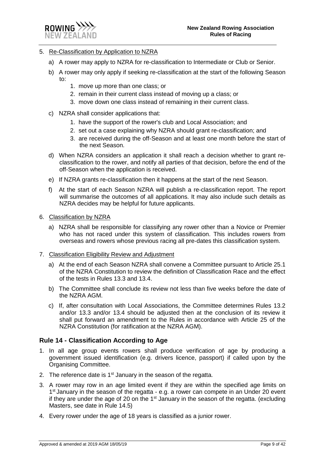

#### 5. Re-Classification by Application to NZRA

- a) A rower may apply to NZRA for re-classification to Intermediate or Club or Senior.
- b) A rower may only apply if seeking re-classification at the start of the following Season to:
	- 1. move up more than one class; or
	- 2. remain in their current class instead of moving up a class; or
	- 3. move down one class instead of remaining in their current class.
- c) NZRA shall consider applications that:
	- 1. have the support of the rower's club and Local Association; and
	- 2. set out a case explaining why NZRA should grant re-classification; and
	- 3. are received during the off-Season and at least one month before the start of the next Season.
- d) When NZRA considers an application it shall reach a decision whether to grant reclassification to the rower, and notify all parties of that decision, before the end of the off-Season when the application is received.
- e) If NZRA grants re-classification then it happens at the start of the next Season.
- f) At the start of each Season NZRA will publish a re-classification report. The report will summarise the outcomes of all applications. It may also include such details as NZRA decides may be helpful for future applicants.
- 6. Classification by NZRA
	- a) NZRA shall be responsible for classifying any rower other than a Novice or Premier who has not raced under this system of classification. This includes rowers from overseas and rowers whose previous racing all pre-dates this classification system.
- 7. Classification Eligibility Review and Adjustment
	- a) At the end of each Season NZRA shall convene a Committee pursuant to Article 25.1 of the NZRA Constitution to review the definition of Classification Race and the effect of the tests in Rules 13.3 and 13.4.
	- b) The Committee shall conclude its review not less than five weeks before the date of the NZRA AGM.
	- c) If, after consultation with Local Associations, the Committee determines Rules 13.2 and/or 13.3 and/or 13.4 should be adjusted then at the conclusion of its review it shall put forward an amendment to the Rules in accordance with Article 25 of the NZRA Constitution (for ratification at the NZRA AGM).

#### <span id="page-8-0"></span>**Rule 14 - Classification According to Age**

- 1. In all age group events rowers shall produce verification of age by producing a government issued identification (e.g. drivers licence, passport) if called upon by the Organising Committee.
- 2. The reference date is  $1<sup>st</sup>$  January in the season of the regatta.
- 3. A rower may row in an age limited event if they are within the specified age limits on 1<sup>st</sup> January in the season of the regatta - e.g. a rower can compete in an Under 20 event if they are under the age of 20 on the 1st January in the season of the regatta. (excluding Masters, see date in Rule 14.5)
- 4. Every rower under the age of 18 years is classified as a junior rower.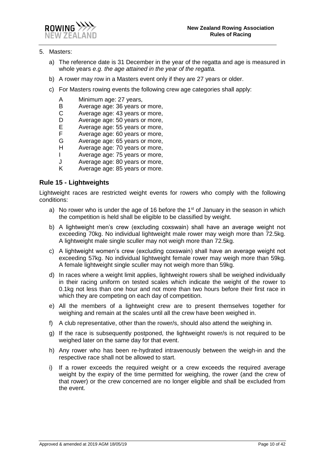

#### 5. Masters:

- a) The reference date is 31 December in the year of the regatta and age is measured in whole years *e.g. the age attained in the year of the regatta.*
- b) A rower may row in a Masters event only if they are 27 years or older.
- c) For Masters rowing events the following crew age categories shall apply:
	- A Minimum age: 27 years,<br>B Average age: 36 years o
	- B Average age: 36 years or more,<br>C Average age: 43 years or more,
	- Average age: 43 years or more,
	- D Average age: 50 years or more,<br>E Average age: 55 years or more,
	- E Average age: 55 years or more,<br>F Average age: 60 years or more,
	- F Average age: 60 years or more,<br>G Average age: 65 years or more,
	- Average age: 65 years or more,
	- H Average age: 70 years or more,
	- I Average age: 75 years or more,
	- J Average age: 80 years or more,
	- K Average age: 85 years or more.

#### <span id="page-9-0"></span>**Rule 15 - Lightweights**

Lightweight races are restricted weight events for rowers who comply with the following conditions:

- a) No rower who is under the age of 16 before the  $1<sup>st</sup>$  of January in the season in which the competition is held shall be eligible to be classified by weight.
- b) A lightweight men's crew (excluding coxswain) shall have an average weight not exceeding 70kg. No individual lightweight male rower may weigh more than 72.5kg. A lightweight male single sculler may not weigh more than 72.5kg.
- c) A lightweight women's crew (excluding coxswain) shall have an average weight not exceeding 57kg. No individual lightweight female rower may weigh more than 59kg. A female lightweight single sculler may not weigh more than 59kg.
- d) In races where a weight limit applies, lightweight rowers shall be weighed individually in their racing uniform on tested scales which indicate the weight of the rower to 0.1kg not less than one hour and not more than two hours before their first race in which they are competing on each day of competition.
- e) All the members of a lightweight crew are to present themselves together for weighing and remain at the scales until all the crew have been weighed in.
- f) A club representative, other than the rower/s, should also attend the weighing in.
- g) If the race is subsequently postponed, the lightweight rower/s is not required to be weighed later on the same day for that event.
- h) Any rower who has been re-hydrated intravenously between the weigh-in and the respective race shall not be allowed to start.
- i) If a rower exceeds the required weight or a crew exceeds the required average weight by the expiry of the time permitted for weighing, the rower (and the crew of that rower) or the crew concerned are no longer eligible and shall be excluded from the event.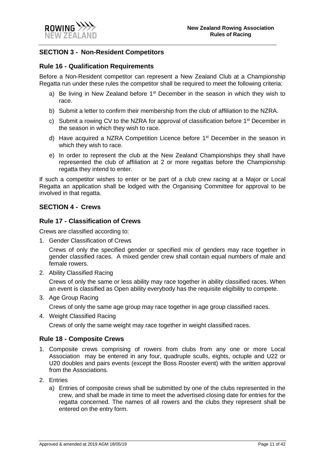

#### <span id="page-10-0"></span>**SECTION 3 - Non-Resident Competitors**

#### <span id="page-10-1"></span>**Rule 16 - Qualification Requirements**

Before a Non-Resident competitor can represent a New Zealand Club at a Championship Regatta run under these rules the competitor shall be required to meet the following criteria:

- a) Be living in New Zealand before  $1<sup>st</sup>$  December in the season in which they wish to race.
- b) Submit a letter to confirm their membership from the club of affiliation to the NZRA.
- c) Submit a rowing CV to the NZRA for approval of classification before  $1<sup>st</sup>$  December in the season in which they wish to race.
- d) Have acquired a NZRA Competition Licence before 1st December in the season in which they wish to race.
- e) In order to represent the club at the New Zealand Championships they shall have represented the club of affiliation at 2 or more regattas before the Championship regatta they intend to enter.

If such a competitor wishes to enter or be part of a club crew racing at a Major or Local Regatta an application shall be lodged with the Organising Committee for approval to be involved in that regatta.

#### <span id="page-10-2"></span>**SECTION 4 - Crews**

#### <span id="page-10-3"></span>**Rule 17 - Classification of Crews**

Crews are classified according to:

1. Gender Classification of Crews

Crews of only the specified gender or specified mix of genders may race together in gender classified races. A mixed gender crew shall contain equal numbers of male and female rowers.

2. Ability Classified Racing

Crews of only the same or less ability may race together in ability classified races. When an event is classified as Open ability everybody has the requisite eligibility to compete.

3. Age Group Racing

Crews of only the same age group may race together in age group classified races.

4. Weight Classified Racing

Crews of only the same weight may race together in weight classified races.

#### <span id="page-10-4"></span>**Rule 18 - Composite Crews**

- 1. Composite crews comprising of rowers from clubs from any one or more Local Association may be entered in any four, quadruple sculls, eights, octuple and U22 or U20 doubles and pairs events (except the Boss Rooster event) with the written approval from the Associations.
- 2. Entries
	- a) Entries of composite crews shall be submitted by one of the clubs represented in the crew, and shall be made in time to meet the advertised closing date for entries for the regatta concerned. The names of all rowers and the clubs they represent shall be entered on the entry form.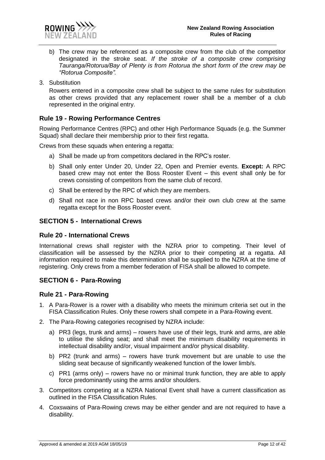

- b) The crew may be referenced as a composite crew from the club of the competitor designated in the stroke seat. *If the stroke of a composite crew comprising Tauranga/Rotorua/Bay of Plenty is from Rotorua the short form of the crew may be "Rotorua Composite".*
- 3. Substitution

Rowers entered in a composite crew shall be subject to the same rules for substitution as other crews provided that any replacement rower shall be a member of a club represented in the original entry.

#### <span id="page-11-0"></span>**Rule 19 - Rowing Performance Centres**

Rowing Performance Centres (RPC) and other High Performance Squads (e.g. the Summer Squad) shall declare their membership prior to their first regatta.

Crews from these squads when entering a regatta:

- a) Shall be made up from competitors declared in the RPC's roster.
- b) Shall only enter Under 20, Under 22, Open and Premier events. **Except:** A RPC based crew may not enter the Boss Rooster Event – this event shall only be for crews consisting of competitors from the same club of record.
- c) Shall be entered by the RPC of which they are members.
- d) Shall not race in non RPC based crews and/or their own club crew at the same regatta except for the Boss Rooster event.

#### <span id="page-11-1"></span>**SECTION 5 - International Crews**

#### <span id="page-11-2"></span>**Rule 20 - International Crews**

International crews shall register with the NZRA prior to competing. Their level of classification will be assessed by the NZRA prior to their competing at a regatta. All information required to make this determination shall be supplied to the NZRA at the time of registering. Only crews from a member federation of FISA shall be allowed to compete.

#### <span id="page-11-3"></span>**SECTION 6 - Para-Rowing**

#### <span id="page-11-4"></span>**Rule 21 - Para-Rowing**

- 1. A Para-Rower is a rower with a disability who meets the minimum criteria set out in the FISA Classification Rules. Only these rowers shall compete in a Para-Rowing event.
- 2. The Para-Rowing categories recognised by NZRA include:
	- a) PR3 (legs, trunk and arms) rowers have use of their legs, trunk and arms, are able to utilise the sliding seat; and shall meet the minimum disability requirements in intellectual disability and/or, visual impairment and/or physical disability.
	- b) PR2 (trunk and arms) rowers have trunk movement but are unable to use the sliding seat because of significantly weakened function of the lower limb/s.
	- c) PR1 (arms only) rowers have no or minimal trunk function, they are able to apply force predominantly using the arms and/or shoulders.
- 3. Competitors competing at a NZRA National Event shall have a current classification as outlined in the FISA Classification Rules.
- 4. Coxswains of Para-Rowing crews may be either gender and are not required to have a disability.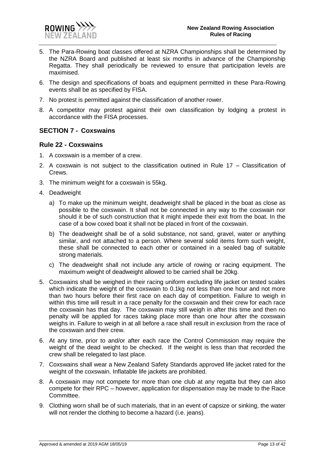

- 5. The Para-Rowing boat classes offered at NZRA Championships shall be determined by the NZRA Board and published at least six months in advance of the Championship Regatta. They shall periodically be reviewed to ensure that participation levels are maximised.
- 6. The design and specifications of boats and equipment permitted in these Para-Rowing events shall be as specified by FISA.
- 7. No protest is permitted against the classification of another rower.
- 8. A competitor may protest against their own classification by lodging a protest in accordance with the FISA processes.

#### <span id="page-12-0"></span>**SECTION 7 - Coxswains**

#### <span id="page-12-1"></span>**Rule 22 - Coxswains**

- 1. A coxswain is a member of a crew.
- 2. A coxswain is not subject to the classification outined in Rule 17 Classification of Crews.
- 3. The minimum weight for a coxswain is 55kg.
- 4. Deadweight
	- a) To make up the minimum weight, deadweight shall be placed in the boat as close as possible to the coxswain. It shall not be connected in any way to the coxswain nor should it be of such construction that it might impede their exit from the boat. In the case of a bow coxed boat it shall not be placed in front of the coxswain.
	- b) The deadweight shall be of a solid substance, not sand, gravel, water or anything similar, and not attached to a person. Where several solid items form such weight, these shall be connected to each other or contained in a sealed bag of suitable strong materials.
	- c) The deadweight shall not include any article of rowing or racing equipment. The maximum weight of deadweight allowed to be carried shall be 20kg.
- 5. Coxswains shall be weighed in their racing uniform excluding life jacket on tested scales which indicate the weight of the coxswain to 0.1kg not less than one hour and not more than two hours before their first race on each day of competition. Failure to weigh in within this time will result in a race penalty for the coxswain and their crew for each race the coxswain has that day. The coxswain may still weigh in after this time and then no penalty will be applied for races taking place more than one hour after the coxswain weighs in. Failure to weigh in at all before a race shall result in exclusion from the race of the coxswain and their crew.
- 6. At any time, prior to and/or after each race the Control Commission may require the weight of the dead weight to be checked. If the weight is less than that recorded the crew shall be relegated to last place.
- 7. Coxswains shall wear a New Zealand Safety Standards approved life jacket rated for the weight of the coxswain. Inflatable life jackets are prohibited.
- 8. A coxswain may not compete for more than one club at any regatta but they can also compete for their RPC – however, application for dispensation may be made to the Race Committee.
- 9. Clothing worn shall be of such materials, that in an event of capsize or sinking, the water will not render the clothing to become a hazard (i.e. jeans).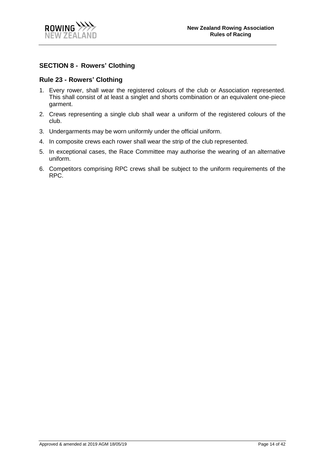

#### <span id="page-13-0"></span>**SECTION 8 - Rowers' Clothing**

#### <span id="page-13-1"></span>**Rule 23 - Rowers' Clothing**

- 1. Every rower, shall wear the registered colours of the club or Association represented. This shall consist of at least a singlet and shorts combination or an equivalent one-piece garment.
- 2. Crews representing a single club shall wear a uniform of the registered colours of the club.
- 3. Undergarments may be worn uniformly under the official uniform.
- 4. In composite crews each rower shall wear the strip of the club represented.
- 5. In exceptional cases, the Race Committee may authorise the wearing of an alternative uniform.
- 6. Competitors comprising RPC crews shall be subject to the uniform requirements of the RPC.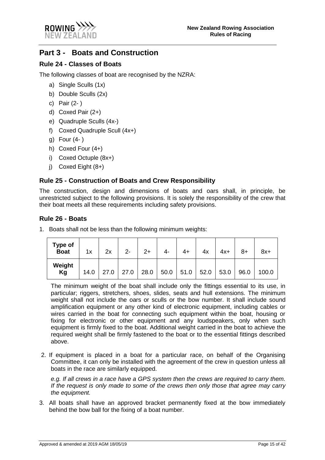

# <span id="page-14-0"></span>**Part 3 - Boats and Construction**

### <span id="page-14-1"></span>**Rule 24 - Classes of Boats**

The following classes of boat are recognised by the NZRA:

- a) Single Sculls (1x)
- b) Double Sculls (2x)
- c) Pair (2- )
- d) Coxed Pair (2+)
- e) Quadruple Sculls (4x-)
- f) Coxed Quadruple Scull (4x+)
- g) Four (4- )
- h) Coxed Four (4+)
- i) Coxed Octuple (8x+)
- j) Coxed Eight (8+)

#### <span id="page-14-2"></span>**Rule 25 - Construction of Boats and Crew Responsibility**

The construction, design and dimensions of boats and oars shall, in principle, be unrestricted subject to the following provisions. It is solely the responsibility of the crew that their boat meets all these requirements including safety provisions.

#### <span id="page-14-3"></span>**Rule 26 - Boats**

1. Boats shall not be less than the following minimum weights:

| Type of<br><b>Boat</b> | 1x   | 2x   | $2 -$ | $2+$ | 4-   | 4+   | 4х   | $4x+$ | $8+$ | $8x+$ |
|------------------------|------|------|-------|------|------|------|------|-------|------|-------|
| Weight<br>Kg           | 14.0 | 27.0 | 27.0  | 28.0 | 50.0 | 51.0 | 52.0 | 53.0  | 96.0 | 100.0 |

The minimum weight of the boat shall include only the fittings essential to its use, in particular; riggers, stretchers, shoes, slides, seats and hull extensions. The minimum weight shall not include the oars or sculls or the bow number. It shall include sound amplification equipment or any other kind of electronic equipment, including cables or wires carried in the boat for connecting such equipment within the boat, housing or fixing for electronic or other equipment and any loudspeakers, only when such equipment is firmly fixed to the boat. Additional weight carried in the boat to achieve the required weight shall be firmly fastened to the boat or to the essential fittings described above.

2. If equipment is placed in a boat for a particular race, on behalf of the Organising Committee, it can only be installed with the agreement of the crew in question unless all boats in the race are similarly equipped.

*e.g. If all crews in a race have a GPS system then the crews are required to carry them. If the request is only made to some of the crews then only those that agree may carry the equipment.*

3. All boats shall have an approved bracket permanently fixed at the bow immediately behind the bow ball for the fixing of a boat number.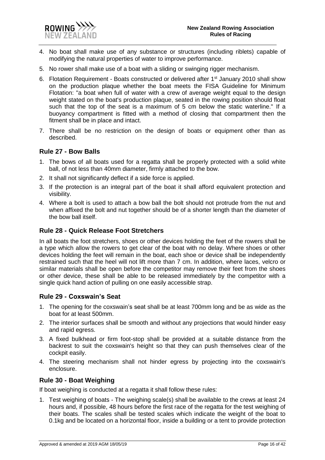- 4. No boat shall make use of any substance or structures (including riblets) capable of modifying the natural properties of water to improve performance.
- 5. No rower shall make use of a boat with a sliding or swinging rigger mechanism.
- 6. Flotation Requirement Boats constructed or delivered after 1<sup>st</sup> January 2010 shall show on the production plaque whether the boat meets the FISA Guideline for Minimum Flotation: "a boat when full of water with a crew of average weight equal to the design weight stated on the boat's production plaque, seated in the rowing position should float such that the top of the seat is a maximum of 5 cm below the static waterline." If a buoyancy compartment is fitted with a method of closing that compartment then the fitment shall be in place and intact.
- 7. There shall be no restriction on the design of boats or equipment other than as described.

#### <span id="page-15-0"></span>**Rule 27 - Bow Balls**

- 1. The bows of all boats used for a regatta shall be properly protected with a solid white ball, of not less than 40mm diameter, firmly attached to the bow.
- 2. It shall not significantly deflect if a side force is applied.
- 3. If the protection is an integral part of the boat it shall afford equivalent protection and visibility.
- 4. Where a bolt is used to attach a bow ball the bolt should not protrude from the nut and when affixed the bolt and nut together should be of a shorter length than the diameter of the bow ball itself.

#### <span id="page-15-1"></span>**Rule 28 - Quick Release Foot Stretchers**

In all boats the foot stretchers, shoes or other devices holding the feet of the rowers shall be a type which allow the rowers to get clear of the boat with no delay. Where shoes or other devices holding the feet will remain in the boat, each shoe or device shall be independently restrained such that the heel will not lift more than 7 cm. In addition, where laces, velcro or similar materials shall be open before the competitor may remove their feet from the shoes or other device, these shall be able to be released immediately by the competitor with a single quick hand action of pulling on one easily accessible strap.

#### <span id="page-15-2"></span>**Rule 29 - Coxswain's Seat**

- 1. The opening for the coxswain's seat shall be at least 700mm long and be as wide as the boat for at least 500mm.
- 2. The interior surfaces shall be smooth and without any projections that would hinder easy and rapid egress.
- 3. A fixed bulkhead or firm foot-stop shall be provided at a suitable distance from the backrest to suit the coxswain's height so that they can push themselves clear of the cockpit easily.
- 4. The steering mechanism shall not hinder egress by projecting into the coxswain's enclosure.

#### <span id="page-15-3"></span>**Rule 30 - Boat Weighing**

If boat weighing is conducted at a regatta it shall follow these rules:

1. Test weighing of boats - The weighing scale(s) shall be available to the crews at least 24 hours and, if possible, 48 hours before the first race of the regatta for the test weighing of their boats. The scales shall be tested scales which indicate the weight of the boat to 0.1kg and be located on a horizontal floor, inside a building or a tent to provide protection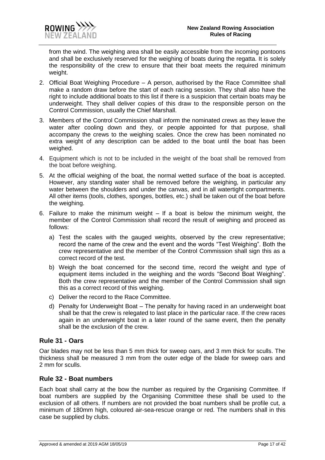

from the wind. The weighing area shall be easily accessible from the incoming pontoons and shall be exclusively reserved for the weighing of boats during the regatta. It is solely the responsibility of the crew to ensure that their boat meets the required minimum weight.

- 2. Official Boat Weighing Procedure A person, authorised by the Race Committee shall make a random draw before the start of each racing session. They shall also have the right to include additional boats to this list if there is a suspicion that certain boats may be underweight. They shall deliver copies of this draw to the responsible person on the Control Commission, usually the Chief Marshall.
- 3. Members of the Control Commission shall inform the nominated crews as they leave the water after cooling down and they, or people appointed for that purpose, shall accompany the crews to the weighing scales. Once the crew has been nominated no extra weight of any description can be added to the boat until the boat has been weighed.
- 4. Equipment which is not to be included in the weight of the boat shall be removed from the boat before weighing.
- 5. At the official weighing of the boat, the normal wetted surface of the boat is accepted. However, any standing water shall be removed before the weighing, in particular any water between the shoulders and under the canvas, and in all watertight compartments. All other items (tools, clothes, sponges, bottles, etc.) shall be taken out of the boat before the weighing.
- 6. Failure to make the minimum weight If a boat is below the minimum weight, the member of the Control Commission shall record the result of weighing and proceed as follows:
	- a) Test the scales with the gauged weights, observed by the crew representative; record the name of the crew and the event and the words "Test Weighing". Both the crew representative and the member of the Control Commission shall sign this as a correct record of the test.
	- b) Weigh the boat concerned for the second time, record the weight and type of equipment items included in the weighing and the words "Second Boat Weighing". Both the crew representative and the member of the Control Commission shall sign this as a correct record of this weighing.
	- c) Deliver the record to the Race Committee.
	- d) Penalty for Underweight Boat The penalty for having raced in an underweight boat shall be that the crew is relegated to last place in the particular race. If the crew races again in an underweight boat in a later round of the same event, then the penalty shall be the exclusion of the crew.

#### <span id="page-16-0"></span>**Rule 31 - Oars**

Oar blades may not be less than 5 mm thick for sweep oars, and 3 mm thick for sculls. The thickness shall be measured 3 mm from the outer edge of the blade for sweep oars and 2 mm for sculls.

#### <span id="page-16-1"></span>**Rule 32 - Boat numbers**

Each boat shall carry at the bow the number as required by the Organising Committee. If boat numbers are supplied by the Organising Committee these shall be used to the exclusion of all others. If numbers are not provided the boat numbers shall be profile cut, a minimum of 180mm high, coloured air-sea-rescue orange or red. The numbers shall in this case be supplied by clubs.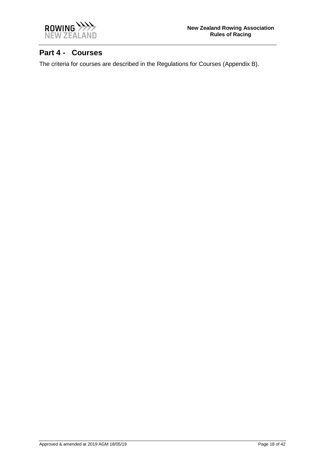

# <span id="page-17-0"></span>**Part 4 - Courses**

The criteria for courses are described in the Regulations for Courses (Appendix B).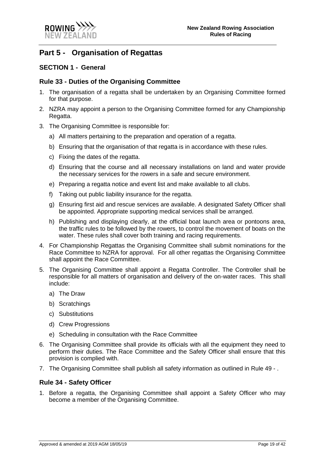

# <span id="page-18-0"></span>**Part 5 - Organisation of Regattas**

#### <span id="page-18-1"></span>**SECTION 1 - General**

#### <span id="page-18-2"></span>**Rule 33 - Duties of the Organising Committee**

- 1. The organisation of a regatta shall be undertaken by an Organising Committee formed for that purpose.
- 2. NZRA may appoint a person to the Organising Committee formed for any Championship Regatta.
- 3. The Organising Committee is responsible for:
	- a) All matters pertaining to the preparation and operation of a regatta.
	- b) Ensuring that the organisation of that regatta is in accordance with these rules.
	- c) Fixing the dates of the regatta.
	- d) Ensuring that the course and all necessary installations on land and water provide the necessary services for the rowers in a safe and secure environment.
	- e) Preparing a regatta notice and event list and make available to all clubs.
	- f) Taking out public liability insurance for the regatta.
	- g) Ensuring first aid and rescue services are available. A designated Safety Officer shall be appointed. Appropriate supporting medical services shall be arranged.
	- h) Publishing and displaying clearly, at the official boat launch area or pontoons area, the traffic rules to be followed by the rowers, to control the movement of boats on the water. These rules shall cover both training and racing requirements.
- 4. For Championship Regattas the Organising Committee shall submit nominations for the Race Committee to NZRA for approval. For all other regattas the Organising Committee shall appoint the Race Committee.
- 5. The Organising Committee shall appoint a Regatta Controller. The Controller shall be responsible for all matters of organisation and delivery of the on-water races. This shall include:
	- a) The Draw
	- b) Scratchings
	- c) Substitutions
	- d) Crew Progressions
	- e) Scheduling in consultation with the Race Committee
- 6. The Organising Committee shall provide its officials with all the equipment they need to perform their duties. The Race Committee and the Safety Officer shall ensure that this provision is complied with.
- 7. The Organising Committee shall publish all safety information as outlined in [Rule 49 -](#page-23-4) .

#### <span id="page-18-3"></span>**Rule 34 - Safety Officer**

1. Before a regatta, the Organising Committee shall appoint a Safety Officer who may become a member of the Organising Committee.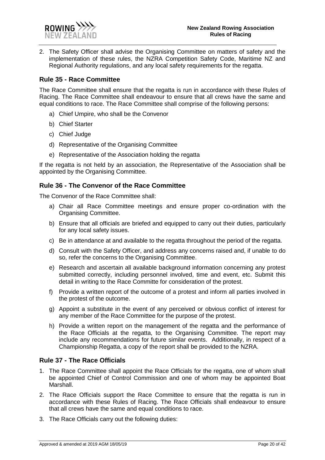

2. The Safety Officer shall advise the Organising Committee on matters of safety and the implementation of these rules, the NZRA Competition Safety Code, Maritime NZ and Regional Authority regulations, and any local safety requirements for the regatta.

#### <span id="page-19-0"></span>**Rule 35 - Race Committee**

The Race Committee shall ensure that the regatta is run in accordance with these Rules of Racing. The Race Committee shall endeavour to ensure that all crews have the same and equal conditions to race. The Race Committee shall comprise of the following persons:

- a) Chief Umpire, who shall be the Convenor
- b) Chief Starter
- c) Chief Judge
- d) Representative of the Organising Committee
- e) Representative of the Association holding the regatta

If the regatta is not held by an association, the Representative of the Association shall be appointed by the Organising Committee.

#### <span id="page-19-1"></span>**Rule 36 - The Convenor of the Race Committee**

The Convenor of the Race Committee shall:

- a) Chair all Race Committee meetings and ensure proper co-ordination with the Organising Committee.
- b) Ensure that all officials are briefed and equipped to carry out their duties, particularly for any local safety issues.
- c) Be in attendance at and available to the regatta throughout the period of the regatta.
- d) Consult with the Safety Officer, and address any concerns raised and, if unable to do so, refer the concerns to the Organising Committee.
- e) Research and ascertain all available background information concerning any protest submitted correctly, including personnel involved, time and event, etc. Submit this detail in writing to the Race Committe for consideration of the protest.
- f) Provide a written report of the outcome of a protest and inform all parties involved in the protest of the outcome.
- g) Appoint a substitute in the event of any perceived or obvious conflict of interest for any member of the Race Committee for the purpose of the protest.
- h) Provide a written report on the management of the regatta and the performance of the Race Officials at the regatta, to the Organising Committee. The report may include any recommendations for future similar events. Additionally, in respect of a Championship Regatta, a copy of the report shall be provided to the NZRA.

#### <span id="page-19-2"></span>**Rule 37 - The Race Officials**

- 1. The Race Committee shall appoint the Race Officials for the regatta, one of whom shall be appointed Chief of Control Commission and one of whom may be appointed Boat Marshall.
- 2. The Race Officials support the Race Committee to ensure that the regatta is run in accordance with these Rules of Racing. The Race Officials shall endeavour to ensure that all crews have the same and equal conditions to race.
- 3. The Race Officials carry out the following duties: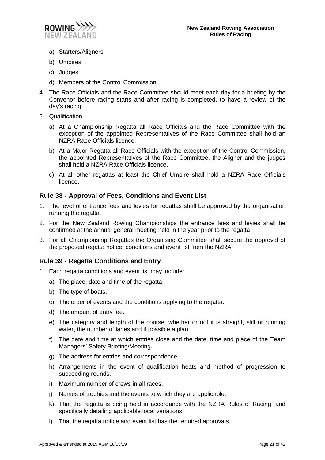

- a) Starters/Aligners
- b) Umpires
- c) Judges
- d) Members of the Control Commission
- 4. The Race Officials and the Race Committee should meet each day for a briefing by the Convenor before racing starts and after racing is completed, to have a review of the day's racing.
- 5. Qualification
	- a) At a Championship Regatta all Race Officials and the Race Committee with the exception of the appointed Representatives of the Race Committee shall hold an NZRA Race Officials licence.
	- b) At a Major Regatta all Race Officials with the exception of the Control Commission, the appointed Representatives of the Race Committee, the Aligner and the judges shall hold a NZRA Race Officials licence.
	- c) At all other regattas at least the Chief Umpire shall hold a NZRA Race Officials licence.

#### <span id="page-20-0"></span>**Rule 38 - Approval of Fees, Conditions and Event List**

- 1. The level of entrance fees and levies for regattas shall be approved by the organisation running the regatta.
- 2. For the New Zealand Rowing Championships the entrance fees and levies shall be confirmed at the annual general meeting held in the year prior to the regatta.
- 3. For all Championship Regattas the Organising Committee shall secure the approval of the proposed regatta notice, conditions and event list from the NZRA.

#### <span id="page-20-1"></span>**Rule 39 - Regatta Conditions and Entry**

- 1. Each regatta conditions and event list may include:
	- a) The place, date and time of the regatta.
	- b) The type of boats.
	- c) The order of events and the conditions applying to the regatta.
	- d) The amount of entry fee.
	- e) The category and length of the course, whether or not it is straight, still or running water, the number of lanes and if possible a plan.
	- f) The date and time at which entries close and the date, time and place of the Team Managers' Safety Briefing/Meeting.
	- g) The address for entries and correspondence.
	- h) Arrangements in the event of qualification heats and method of progression to succeeding rounds.
	- i) Maximum number of crews in all races.
	- j) Names of trophies and the events to which they are applicable.
	- k) That the regatta is being held in accordance with the NZRA Rules of Racing, and specifically detailing applicable local variations.
	- l) That the regatta notice and event list has the required approvals.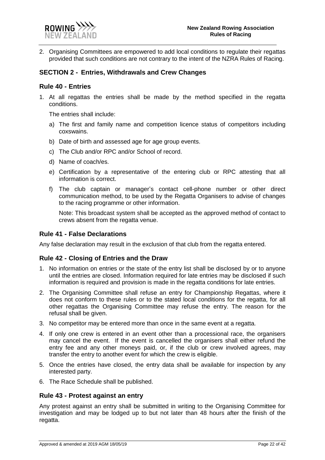

2. Organising Committees are empowered to add local conditions to regulate their regattas provided that such conditions are not contrary to the intent of the NZRA Rules of Racing.

#### <span id="page-21-0"></span>**SECTION 2 - Entries, Withdrawals and Crew Changes**

#### <span id="page-21-1"></span>**Rule 40 - Entries**

1. At all regattas the entries shall be made by the method specified in the regatta conditions.

The entries shall include:

- a) The first and family name and competition licence status of competitors including coxswains.
- b) Date of birth and assessed age for age group events.
- c) The Club and/or RPC and/or School of record.
- d) Name of coach/es.
- e) Certification by a representative of the entering club or RPC attesting that all information is correct.
- f) The club captain or manager's contact cell-phone number or other direct communication method, to be used by the Regatta Organisers to advise of changes to the racing programme or other information.

Note: This broadcast system shall be accepted as the approved method of contact to crews absent from the regatta venue.

#### <span id="page-21-2"></span>**Rule 41 - False Declarations**

Any false declaration may result in the exclusion of that club from the regatta entered.

#### <span id="page-21-3"></span>**Rule 42 - Closing of Entries and the Draw**

- 1. No information on entries or the state of the entry list shall be disclosed by or to anyone until the entries are closed. Information required for late entries may be disclosed if such information is required and provision is made in the regatta conditions for late entries.
- 2. The Organising Committee shall refuse an entry for Championship Regattas, where it does not conform to these rules or to the stated local conditions for the regatta, for all other regattas the Organising Committee may refuse the entry. The reason for the refusal shall be given.
- 3. No competitor may be entered more than once in the same event at a regatta.
- 4. If only one crew is entered in an event other than a processional race, the organisers may cancel the event. If the event is cancelled the organisers shall either refund the entry fee and any other moneys paid, or, if the club or crew involved agrees, may transfer the entry to another event for which the crew is eligible.
- 5. Once the entries have closed, the entry data shall be available for inspection by any interested party.
- 6. The Race Schedule shall be published.

#### <span id="page-21-4"></span>**Rule 43 - Protest against an entry**

Any protest against an entry shall be submitted in writing to the Organising Committee for investigation and may be lodged up to but not later than 48 hours after the finish of the regatta.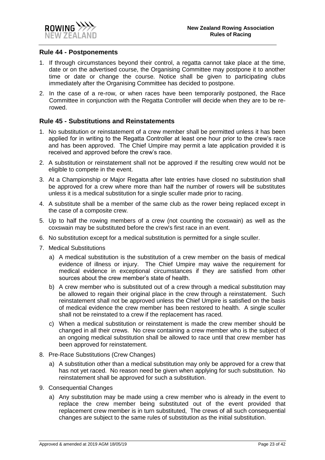

#### <span id="page-22-0"></span>**Rule 44 - Postponements**

- 1. If through circumstances beyond their control, a regatta cannot take place at the time, date or on the advertised course, the Organising Committee may postpone it to another time or date or change the course. Notice shall be given to participating clubs immediately after the Organising Committee has decided to postpone.
- 2. In the case of a re-row, or when races have been temporarily postponed, the Race Committee in conjunction with the Regatta Controller will decide when they are to be rerowed.

#### <span id="page-22-1"></span>**Rule 45 - Substitutions and Reinstatements**

- 1. No substitution or reinstatement of a crew member shall be permitted unless it has been applied for in writing to the Regatta Controller at least one hour prior to the crew's race and has been approved. The Chief Umpire may permit a late application provided it is received and approved before the crew's race.
- 2. A substitution or reinstatement shall not be approved if the resulting crew would not be eligible to compete in the event.
- 3. At a Championship or Major Regatta after late entries have closed no substitution shall be approved for a crew where more than half the number of rowers will be substitutes unless it is a medical substitution for a single sculler made prior to racing.
- 4. A substitute shall be a member of the same club as the rower being replaced except in the case of a composite crew.
- 5. Up to half the rowing members of a crew (not counting the coxswain) as well as the coxswain may be substituted before the crew's first race in an event.
- 6. No substitution except for a medical substitution is permitted for a single sculler.
- 7. Medical Substitutions
	- a) A medical substitution is the substitution of a crew member on the basis of medical evidence of illness or injury. The Chief Umpire may waive the requirement for medical evidence in exceptional circumstances if they are satisfied from other sources about the crew member's state of health.
	- b) A crew member who is substituted out of a crew through a medical substitution may be allowed to regain their original place in the crew through a reinstatement. Such reinstatement shall not be approved unless the Chief Umpire is satisfied on the basis of medical evidence the crew member has been restored to health. A single sculler shall not be reinstated to a crew if the replacement has raced.
	- c) When a medical substitution or reinstatement is made the crew member should be changed in all their crews. No crew containing a crew member who is the subject of an ongoing medical substitution shall be allowed to race until that crew member has been approved for reinstatement.
- 8. Pre-Race Substitutions (Crew Changes)
	- a) A substitution other than a medical substitution may only be approved for a crew that has not yet raced. No reason need be given when applying for such substitution. No reinstatement shall be approved for such a substitution.
- 9. Consequential Changes
	- a) Any substitution may be made using a crew member who is already in the event to replace the crew member being substituted out of the event provided that replacement crew member is in turn substituted, The crews of all such consequential changes are subject to the same rules of substitution as the initial substitution.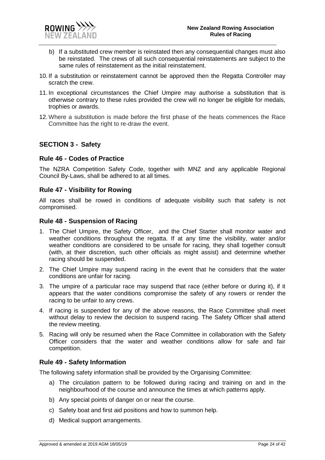

- b) If a substituted crew member is reinstated then any consequential changes must also be reinstated. The crews of all such consequential reinstatements are subject to the same rules of reinstatement as the initial reinstatement.
- 10. If a substitution or reinstatement cannot be approved then the Regatta Controller may scratch the crew.
- 11. In exceptional circumstances the Chief Umpire may authorise a substitution that is otherwise contrary to these rules provided the crew will no longer be eligible for medals, trophies or awards.
- 12.Where a substitution is made before the first phase of the heats commences the Race Committee has the right to re-draw the event.

#### <span id="page-23-0"></span>**SECTION 3 - Safety**

#### <span id="page-23-1"></span>**Rule 46 - Codes of Practice**

The NZRA Competition Safety Code, together with MNZ and any applicable Regional Council By-Laws, shall be adhered to at all times.

#### <span id="page-23-2"></span>**Rule 47 - Visibility for Rowing**

All races shall be rowed in conditions of adequate visibility such that safety is not compromised.

#### <span id="page-23-3"></span>**Rule 48 - Suspension of Racing**

- 1. The Chief Umpire, the Safety Officer, and the Chief Starter shall monitor water and weather conditions throughout the regatta. If at any time the visibility, water and/or weather conditions are considered to be unsafe for racing, they shall together consult (with, at their discretion, such other officials as might assist) and determine whether racing should be suspended.
- 2. The Chief Umpire may suspend racing in the event that he considers that the water conditions are unfair for racing.
- 3. The umpire of a particular race may suspend that race (either before or during it), if it appears that the water conditions compromise the safety of any rowers or render the racing to be unfair to any crews.
- 4. If racing is suspended for any of the above reasons, the Race Committee shall meet without delay to review the decision to suspend racing. The Safety Officer shall attend the review meeting.
- 5. Racing will only be resumed when the Race Committee in collaboration with the Safety Officer considers that the water and weather conditions allow for safe and fair competition.

#### <span id="page-23-4"></span>**Rule 49 - Safety Information**

The following safety information shall be provided by the Organising Committee:

- a) The circulation pattern to be followed during racing and training on and in the neighbourhood of the course and announce the times at which patterns apply.
- b) Any special points of danger on or near the course.
- c) Safety boat and first aid positions and how to summon help.
- d) Medical support arrangements.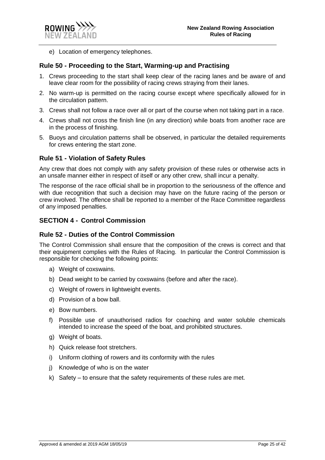

e) Location of emergency telephones.

#### <span id="page-24-0"></span>**Rule 50 - Proceeding to the Start, Warming-up and Practising**

- 1. Crews proceeding to the start shall keep clear of the racing lanes and be aware of and leave clear room for the possibility of racing crews straying from their lanes.
- 2. No warm-up is permitted on the racing course except where specifically allowed for in the circulation pattern.
- 3. Crews shall not follow a race over all or part of the course when not taking part in a race.
- 4. Crews shall not cross the finish line (in any direction) while boats from another race are in the process of finishing.
- 5. Buoys and circulation patterns shall be observed, in particular the detailed requirements for crews entering the start zone.

#### <span id="page-24-1"></span>**Rule 51 - Violation of Safety Rules**

Any crew that does not comply with any safety provision of these rules or otherwise acts in an unsafe manner either in respect of itself or any other crew, shall incur a penalty.

The response of the race official shall be in proportion to the seriousness of the offence and with due recognition that such a decision may have on the future racing of the person or crew involved. The offence shall be reported to a member of the Race Committee regardless of any imposed penalties.

#### <span id="page-24-2"></span>**SECTION 4 - Control Commission**

#### <span id="page-24-3"></span>**Rule 52 - Duties of the Control Commission**

The Control Commission shall ensure that the composition of the crews is correct and that their equipment complies with the Rules of Racing. In particular the Control Commission is responsible for checking the following points:

- a) Weight of coxswains.
- b) Dead weight to be carried by coxswains (before and after the race).
- c) Weight of rowers in lightweight events.
- d) Provision of a bow ball.
- e) Bow numbers.
- f) Possible use of unauthorised radios for coaching and water soluble chemicals intended to increase the speed of the boat, and prohibited structures.
- g) Weight of boats.
- h) Quick release foot stretchers.
- i) Uniform clothing of rowers and its conformity with the rules
- j) Knowledge of who is on the water
- k) Safety to ensure that the safety requirements of these rules are met.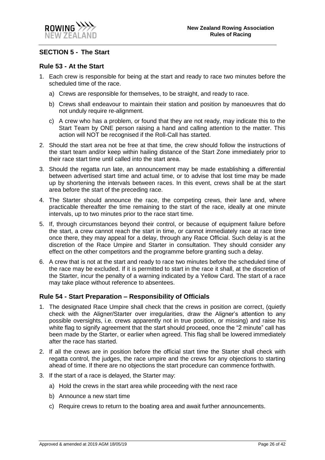

#### <span id="page-25-0"></span>**SECTION 5 - The Start**

#### <span id="page-25-1"></span>**Rule 53 - At the Start**

- 1. Each crew is responsible for being at the start and ready to race two minutes before the scheduled time of the race.
	- a) Crews are responsible for themselves, to be straight, and ready to race.
	- b) Crews shall endeavour to maintain their station and position by manoeuvres that do not unduly require re-alignment.
	- c) A crew who has a problem, or found that they are not ready, may indicate this to the Start Team by ONE person raising a hand and calling attention to the matter. This action will NOT be recognised if the Roll-Call has started.
- 2. Should the start area not be free at that time, the crew should follow the instructions of the start team and/or keep within hailing distance of the Start Zone immediately prior to their race start time until called into the start area.
- 3. Should the regatta run late, an announcement may be made establishing a differential between advertised start time and actual time, or to advise that lost time may be made up by shortening the intervals between races. In this event, crews shall be at the start area before the start of the preceding race.
- 4. The Starter should announce the race, the competing crews, their lane and, where practicable thereafter the time remaining to the start of the race, ideally at one minute intervals, up to two minutes prior to the race start time.
- 5. If, through circumstances beyond their control, or because of equipment failure before the start, a crew cannot reach the start in time, or cannot immediately race at race time once there, they may appeal for a delay, through any Race Official. Such delay is at the discretion of the Race Umpire and Starter in consultation. They should consider any effect on the other competitors and the programme before granting such a delay.
- 6. A crew that is not at the start and ready to race two minutes before the scheduled time of the race may be excluded. If it is permitted to start in the race it shall, at the discretion of the Starter, incur the penalty of a warning indicated by a Yellow Card. The start of a race may take place without reference to absentees.

#### <span id="page-25-2"></span>**Rule 54 - Start Preparation – Responsibility of Officials**

- 1. The designated Race Umpire shall check that the crews in position are correct, (quietly check with the Aligner/Starter over irregularities, draw the Aligner's attention to any possible oversights, i.e. crews apparently not in true position, or missing) and raise his white flag to signify agreement that the start should proceed, once the "2 minute" call has been made by the Starter, or earlier when agreed. This flag shall be lowered immediately after the race has started.
- 2. If all the crews are in position before the official start time the Starter shall check with regatta control, the judges, the race umpire and the crews for any objections to starting ahead of time. If there are no objections the start procedure can commence forthwith.
- 3. If the start of a race is delayed, the Starter may:
	- a) Hold the crews in the start area while proceeding with the next race
	- b) Announce a new start time
	- c) Require crews to return to the boating area and await further announcements.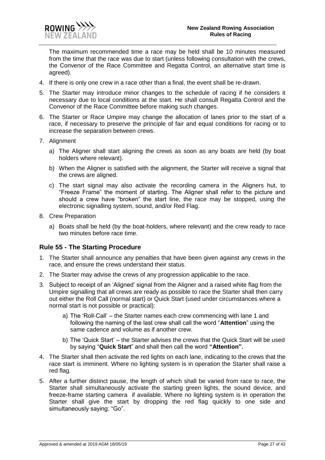

- 4. If there is only one crew in a race other than a final, the event shall be re-drawn.
- 5. The Starter may introduce minor changes to the schedule of racing if he considers it necessary due to local conditions at the start. He shall consult Regatta Control and the Convenor of the Race Committee before making such changes.
- 6. The Starter or Race Umpire may change the allocation of lanes prior to the start of a race, if necessary to preserve the principle of fair and equal conditions for racing or to increase the separation between crews.
- 7. Alignment

**ROWING** NFW 7FΔ

- a) The Aligner shall start aligning the crews as soon as any boats are held (by boat holders where relevant).
- b) When the Aligner is satisfied with the alignment, the Starter will receive a signal that the crews are aligned.
- c) The start signal may also activate the recording camera in the Aligners hut, to "Freeze Frame" the moment of starting. The Aligner shall refer to the picture and should a crew have "broken" the start line, the race may be stopped, using the electronic signalling system, sound, and/or Red Flag.
- 8. Crew Preparation
	- a) Boats shall be held (by the boat-holders, where relevant) and the crew ready to race two minutes before race time.

#### <span id="page-26-0"></span>**Rule 55 - The Starting Procedure**

- 1. The Starter shall announce any penalties that have been given against any crews in the race, and ensure the crews understand their status.
- 2. The Starter may advise the crews of any progression applicable to the race.
- 3. Subject to receipt of an 'Aligned' signal from the Aligner and a raised white flag from the Umpire signalling that all crews are ready as possible to race the Starter shall then carry out either the Roll Call (normal start) or Quick Start (used under circumstances where a normal start is not possible or practical):
	- a) The 'Roll-Call' the Starter names each crew commencing with lane 1 and following the naming of the last crew shall call the word "**Attention**" using the same cadence and volume as if another crew.
	- b) The 'Quick Start' the Starter advises the crews that the Quick Start will be used by saying "**Quick Start**" and shall then call the word **"Attention".**
- 4. The Starter shall then activate the red lights on each lane, indicating to the crews that the race start is imminent. Where no lighting system is in operation the Starter shall raise a red flag.
- 5. After a further distinct pause, the length of which shall be varied from race to race, the Starter shall simultaneously activate the starting green lights, the sound device, and freeze-frame starting camera if available. Where no lighting system is in operation the Starter shall give the start by dropping the red flag quickly to one side and simultaneously saying: "Go".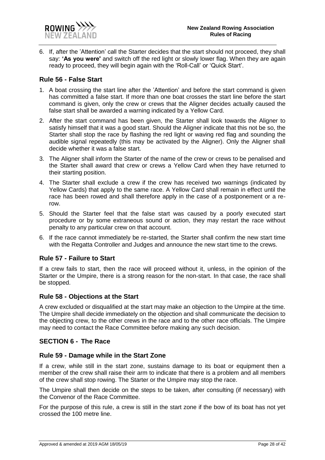

6. If, after the 'Attention' call the Starter decides that the start should not proceed, they shall say: **'As you were'** and switch off the red light or slowly lower flag. When they are again ready to proceed, they will begin again with the 'Roll-Call' or 'Quick Start'.

#### <span id="page-27-0"></span>**Rule 56 - False Start**

- 1. A boat crossing the start line after the 'Attention' and before the start command is given has committed a false start. If more than one boat crosses the start line before the start command is given, only the crew or crews that the Aligner decides actually caused the false start shall be awarded a warning indicated by a Yellow Card.
- 2. After the start command has been given, the Starter shall look towards the Aligner to satisfy himself that it was a good start. Should the Aligner indicate that this not be so, the Starter shall stop the race by flashing the red light or waving red flag and sounding the audible signal repeatedly (this may be activated by the Aligner). Only the Aligner shall decide whether it was a false start.
- 3. The Aligner shall inform the Starter of the name of the crew or crews to be penalised and the Starter shall award that crew or crews a Yellow Card when they have returned to their starting position.
- 4. The Starter shall exclude a crew if the crew has received two warnings (indicated by Yellow Cards) that apply to the same race. A Yellow Card shall remain in effect until the race has been rowed and shall therefore apply in the case of a postponement or a rerow.
- 5. Should the Starter feel that the false start was caused by a poorly executed start procedure or by some extraneous sound or action, they may restart the race without penalty to any particular crew on that account.
- 6. If the race cannot immediately be re-started, the Starter shall confirm the new start time with the Regatta Controller and Judges and announce the new start time to the crews.

#### <span id="page-27-1"></span>**Rule 57 - Failure to Start**

If a crew fails to start, then the race will proceed without it, unless, in the opinion of the Starter or the Umpire, there is a strong reason for the non-start. In that case, the race shall be stopped.

#### <span id="page-27-2"></span>**Rule 58 - Objections at the Start**

A crew excluded or disqualified at the start may make an objection to the Umpire at the time. The Umpire shall decide immediately on the objection and shall communicate the decision to the objecting crew, to the other crews in the race and to the other race officials. The Umpire may need to contact the Race Committee before making any such decision.

#### <span id="page-27-3"></span>**SECTION 6 - The Race**

#### <span id="page-27-4"></span>**Rule 59 - Damage while in the Start Zone**

If a crew, while still in the start zone, sustains damage to its boat or equipment then a member of the crew shall raise their arm to indicate that there is a problem and all members of the crew shall stop rowing. The Starter or the Umpire may stop the race.

The Umpire shall then decide on the steps to be taken, after consulting (if necessary) with the Convenor of the Race Committee.

For the purpose of this rule, a crew is still in the start zone if the bow of its boat has not yet crossed the 100 metre line.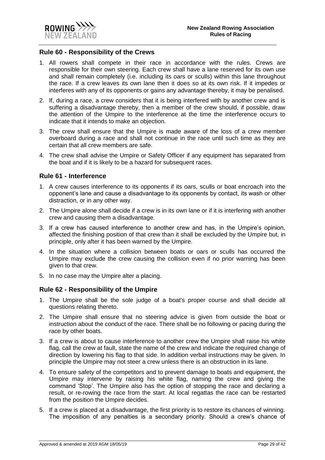

#### <span id="page-28-0"></span>**Rule 60 - Responsibility of the Crews**

- 1. All rowers shall compete in their race in accordance with the rules. Crews are responsible for their own steering. Each crew shall have a lane reserved for its own use and shall remain completely (i.e. including its oars or sculls) within this lane throughout the race. If a crew leaves its own lane then it does so at its own risk. If it impedes or interferes with any of its opponents or gains any advantage thereby, it may be penalised.
- 2. If, during a race, a crew considers that it is being interfered with by another crew and is suffering a disadvantage thereby, then a member of the crew should, if possible, draw the attention of the Umpire to the interference at the time the interference occurs to indicate that it intends to make an objection.
- 3. The crew shall ensure that the Umpire is made aware of the loss of a crew member overboard during a race and shall not continue in the race until such time as they are certain that all crew members are safe.
- 4. The crew shall advise the Umpire or Safety Officer if any equipment has separated from the boat and if it is likely to be a hazard for subsequent races.

#### <span id="page-28-1"></span>**Rule 61 - Interference**

- 1. A crew causes interference to its opponents if its oars, sculls or boat encroach into the opponent's lane and cause a disadvantage to its opponents by contact, its wash or other distraction, or in any other way.
- 2. The Umpire alone shall decide if a crew is in its own lane or if it is interfering with another crew and causing them a disadvantage.
- 3. If a crew has caused interference to another crew and has, in the Umpire's opinion, affected the finishing position of that crew than it shall be excluded by the Umpire but, in principle, only after it has been warned by the Umpire.
- 4. In the situation where a collision between boats or oars or sculls has occurred the Umpire may exclude the crew causing the collision even if no prior warning has been given to that crew.
- 5. In no case may the Umpire alter a placing.

#### <span id="page-28-2"></span>**Rule 62 - Responsibility of the Umpire**

- 1. The Umpire shall be the sole judge of a boat's proper course and shall decide all questions relating thereto.
- 2. The Umpire shall ensure that no steering advice is given from outside the boat or instruction about the conduct of the race. There shall be no following or pacing during the race by other boats.
- 3. If a crew is about to cause interference to another crew the Umpire shall raise his white flag, call the crew at fault, state the name of the crew and indicate the required change of direction by lowering his flag to that side. In addition verbal instructions may be given. In principle the Umpire may not steer a crew unless there is an obstruction in its lane.
- 4. To ensure safety of the competitors and to prevent damage to boats and equipment, the Umpire may intervene by raising his white flag, naming the crew and giving the command 'Stop'. The Umpire also has the option of stopping the race and declaring a result, or re-rowing the race from the start. At local regattas the race can be restarted from the position the Umpire decides.
- 5. If a crew is placed at a disadvantage, the first priority is to restore its chances of winning. The imposition of any penalties is a secondary priority. Should a crew's chance of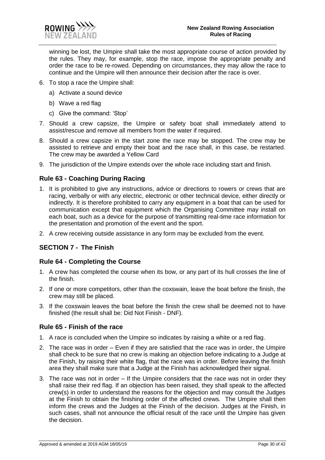

winning be lost, the Umpire shall take the most appropriate course of action provided by the rules. They may, for example, stop the race, impose the appropriate penalty and order the race to be re-rowed. Depending on circumstances, they may allow the race to continue and the Umpire will then announce their decision after the race is over.

- 6. To stop a race the Umpire shall:
	- a) Activate a sound device
	- b) Wave a red flag
	- c) Give the command: 'Stop'
- 7. Should a crew capsize, the Umpire or safety boat shall immediately attend to assist/rescue and remove all members from the water if required.
- 8. Should a crew capsize in the start zone the race may be stopped. The crew may be assisted to retrieve and empty their boat and the race shall, in this case, be restarted. The crew may be awarded a Yellow Card
- 9. The jurisdiction of the Umpire extends over the whole race including start and finish.

### <span id="page-29-0"></span>**Rule 63 - Coaching During Racing**

- 1. It is prohibited to give any instructions, advice or directions to rowers or crews that are racing, verbally or with any electric, electronic or other technical device, either directly or indirectly. It is therefore prohibited to carry any equipment in a boat that can be used for communication except that equipment which the Organising Committee may install on each boat, such as a device for the purpose of transmitting real-time race information for the presentation and promotion of the event and the sport.
- 2. A crew receiving outside assistance in any form may be excluded from the event.

#### <span id="page-29-1"></span>**SECTION 7 - The Finish**

#### <span id="page-29-2"></span>**Rule 64 - Completing the Course**

- 1. A crew has completed the course when its bow, or any part of its hull crosses the line of the finish.
- 2. If one or more competitors, other than the coxswain, leave the boat before the finish, the crew may still be placed.
- 3. If the coxswain leaves the boat before the finish the crew shall be deemed not to have finished (the result shall be: Did Not Finish - DNF).

#### <span id="page-29-3"></span>**Rule 65 - Finish of the race**

- 1. A race is concluded when the Umpire so indicates by raising a white or a red flag.
- 2. The race was in order Even if they are satisfied that the race was in order, the Umpire shall check to be sure that no crew is making an objection before indicating to a Judge at the Finish, by raising their white flag, that the race was in order. Before leaving the finish area they shall make sure that a Judge at the Finish has acknowledged their signal.
- 3. The race was not in order If the Umpire considers that the race was not in order they shall raise their red flag. If an objection has been raised, they shall speak to the affected crew(s) in order to understand the reasons for the objection and may consult the Judges at the Finish to obtain the finishing order of the affected crews. The Umpire shall then inform the crews and the Judges at the Finish of the decision. Judges at the Finish, in such cases, shall not announce the official result of the race until the Umpire has given the decision.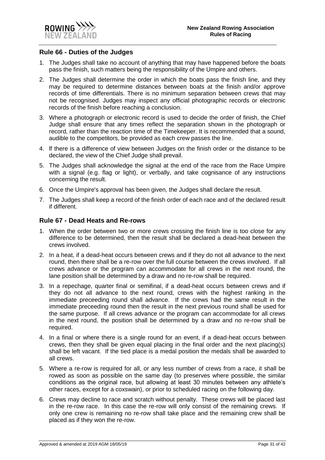

#### <span id="page-30-0"></span>**Rule 66 - Duties of the Judges**

- 1. The Judges shall take no account of anything that may have happened before the boats pass the finish, such matters being the responsibility of the Umpire and others.
- 2. The Judges shall determine the order in which the boats pass the finish line, and they may be required to determine distances between boats at the finish and/or approve records of time differentials. There is no minimum separation between crews that may not be recognised. Judges may inspect any official photographic records or electronic records of the finish before reaching a conclusion.
- 3. Where a photograph or electronic record is used to decide the order of finish, the Chief Judge shall ensure that any times reflect the separation shown in the photograph or record, rather than the reaction time of the Timekeeper. It is recommended that a sound, audible to the competitors, be provided as each crew passes the line.
- 4. lf there is a difference of view between Judges on the finish order or the distance to be declared, the view of the Chief Judge shall prevail.
- 5. The Judges shall acknowledge the signal at the end of the race from the Race Umpire with a signal (e.g. flag or light), or verbally, and take cognisance of any instructions concerning the result.
- 6. Once the Umpire's approval has been given, the Judges shall declare the result.
- 7. The Judges shall keep a record of the finish order of each race and of the declared result if different.

#### <span id="page-30-1"></span>**Rule 67 - Dead Heats and Re-rows**

- 1. When the order between two or more crews crossing the finish line is too close for any difference to be determined, then the result shall be declared a dead-heat between the crews involved.
- 2. In a heat, if a dead-heat occurs between crews and if they do not all advance to the next round, then there shall be a re-row over the full course between the crews involved. If all crews advance or the program can accommodate for all crews in the next round, the lane position shall be determined by a draw and no re-row shall be required.
- 3. In a repechage, quarter final or semifinal, if a dead-heat occurs between crews and if they do not all advance to the next round, crews with the highest ranking in the immediate preceeding round shall advance. If the crews had the same result in the immediate preceeding round then the result in the next previous round shall be used for the same purpose. If all crews advance or the program can accommodate for all crews in the next round, the position shall be determined by a draw and no re-row shall be required.
- 4. In a final or where there is a single round for an event, if a dead-heat occurs between crews, then they shall be given equal placing in the final order and the next placing(s) shall be left vacant. If the tied place is a medal position the medals shall be awarded to all crews.
- 5. Where a re-row is required for all, or any less number of crews from a race, it shall be rowed as soon as possible on the same day (to preserves where possible, the similar conditions as the original race, but allowing at least 30 minutes between any athlete's other races, except for a coxswain), or prior to scheduled racing on the following day.
- 6. Crews may decline to race and scratch without penalty. These crews will be placed last in the re-row race. In this case the re-row will only consist of the remaining crews. If only one crew is remaining no re-row shall take place and the remaining crew shall be placed as if they won the re-row.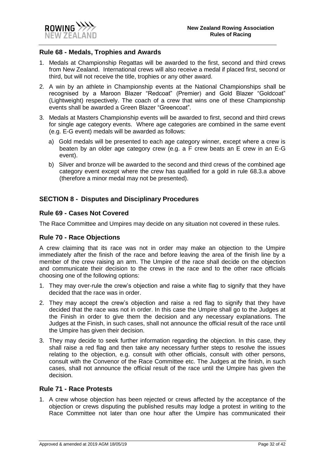#### <span id="page-31-0"></span>**Rule 68 - Medals, Trophies and Awards**

- 1. Medals at Championship Regattas will be awarded to the first, second and third crews from New Zealand. International crews will also receive a medal if placed first, second or third, but will not receive the title, trophies or any other award.
- 2. A win by an athlete in Championship events at the National Championships shall be recognised by a Maroon Blazer "Redcoat" (Premier) and Gold Blazer "Goldcoat" (Lightweight) respectively. The coach of a crew that wins one of these Championship events shall be awarded a Green Blazer "Greencoat".
- 3. Medals at Masters Championship events will be awarded to first, second and third crews for single age category events. Where age categories are combined in the same event (e.g. E-G event) medals will be awarded as follows:
	- a) Gold medals will be presented to each age category winner, except where a crew is beaten by an older age category crew (e.g. a F crew beats an E crew in an E-G event).
	- b) Silver and bronze will be awarded to the second and third crews of the combined age category event except where the crew has qualified for a gold in rule 68.3.a above (therefore a minor medal may not be presented).

#### <span id="page-31-1"></span>**SECTION 8 - Disputes and Disciplinary Procedures**

#### <span id="page-31-2"></span>**Rule 69 - Cases Not Covered**

The Race Committee and Umpires may decide on any situation not covered in these rules.

#### <span id="page-31-3"></span>**Rule 70 - Race Objections**

A crew claiming that its race was not in order may make an objection to the Umpire immediately after the finish of the race and before leaving the area of the finish line by a member of the crew raising an arm. The Umpire of the race shall decide on the objection and communicate their decision to the crews in the race and to the other race officials choosing one of the following options:

- 1. They may over-rule the crew's objection and raise a white flag to signify that they have decided that the race was in order.
- 2. They may accept the crew's objection and raise a red flag to signify that they have decided that the race was not in order. In this case the Umpire shall go to the Judges at the Finish in order to give them the decision and any necessary explanations. The Judges at the Finish, in such cases, shall not announce the official result of the race until the Umpire has given their decision.
- 3. They may decide to seek further information regarding the objection. In this case, they shall raise a red flag and then take any necessary further steps to resolve the issues relating to the objection, e.g. consult with other officials, consult with other persons, consult with the Convenor of the Race Committee etc. The Judges at the finish, in such cases, shall not announce the official result of the race until the Umpire has given the decision.

#### <span id="page-31-4"></span>**Rule 71 - Race Protests**

1. A crew whose objection has been rejected or crews affected by the acceptance of the objection or crews disputing the published results may lodge a protest in writing to the Race Committee not later than one hour after the Umpire has communicated their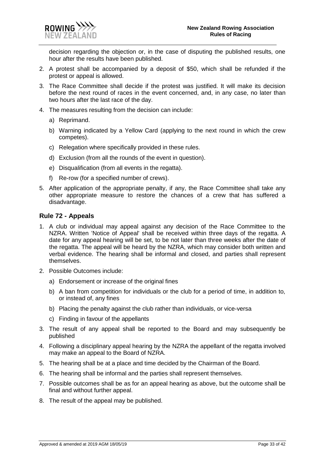decision regarding the objection or, in the case of disputing the published results, one hour after the results have been published.

- 2. A protest shall be accompanied by a deposit of \$50, which shall be refunded if the protest or appeal is allowed.
- 3. The Race Committee shall decide if the protest was justified. It will make its decision before the next round of races in the event concerned, and, in any case, no later than two hours after the last race of the day.
- 4. The measures resulting from the decision can include:
	- a) Reprimand.
	- b) Warning indicated by a Yellow Card (applying to the next round in which the crew competes).
	- c) Relegation where specifically provided in these rules.
	- d) Exclusion (from all the rounds of the event in question).
	- e) Disqualification (from all events in the regatta).
	- f) Re-row (for a specified number of crews).
- 5. After application of the appropriate penalty, if any, the Race Committee shall take any other appropriate measure to restore the chances of a crew that has suffered a disadvantage.

#### <span id="page-32-0"></span>**Rule 72 - Appeals**

- 1. A club or individual may appeal against any decision of the Race Committee to the NZRA. Written 'Notice of Appeal' shall be received within three days of the regatta. A date for any appeal hearing will be set, to be not later than three weeks after the date of the regatta. The appeal will be heard by the NZRA, which may consider both written and verbal evidence. The hearing shall be informal and closed, and parties shall represent themselves.
- 2. Possible Outcomes include:
	- a) Endorsement or increase of the original fines
	- b) A ban from competition for individuals or the club for a period of time, in addition to, or instead of, any fines
	- b) Placing the penalty against the club rather than individuals, or vice-versa
	- c) Finding in favour of the appellants
- 3. The result of any appeal shall be reported to the Board and may subsequently be published
- 4. Following a disciplinary appeal hearing by the NZRA the appellant of the regatta involved may make an appeal to the Board of NZRA.
- 5. The hearing shall be at a place and time decided by the Chairman of the Board.
- 6. The hearing shall be informal and the parties shall represent themselves.
- 7. Possible outcomes shall be as for an appeal hearing as above, but the outcome shall be final and without further appeal.
- 8. The result of the appeal may be published.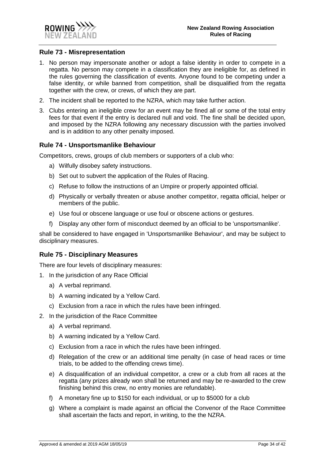

#### <span id="page-33-0"></span>**Rule 73 - Misrepresentation**

- 1. No person may impersonate another or adopt a false identity in order to compete in a regatta. No person may compete in a classification they are ineligible for, as defined in the rules governing the classification of events. Anyone found to be competing under a false identity, or while banned from competition, shall be disqualified from the regatta together with the crew, or crews, of which they are part.
- 2. The incident shall be reported to the NZRA, which may take further action.
- 3. Clubs entering an ineligible crew for an event may be fined all or some of the total entry fees for that event if the entry is declared null and void. The fine shall be decided upon, and imposed by the NZRA following any necessary discussion with the parties involved and is in addition to any other penalty imposed.

#### <span id="page-33-1"></span>**Rule 74 - Unsportsmanlike Behaviour**

Competitors, crews, groups of club members or supporters of a club who:

- a) Wilfully disobey safety instructions.
- b) Set out to subvert the application of the Rules of Racing.
- c) Refuse to follow the instructions of an Umpire or properly appointed official.
- d) Physically or verbally threaten or abuse another competitor, regatta official, helper or members of the public.
- e) Use foul or obscene language or use foul or obscene actions or gestures.
- f) Display any other form of misconduct deemed by an official to be 'unsportsmanlike'.

shall be considered to have engaged in 'Unsportsmanlike Behaviour', and may be subject to disciplinary measures.

#### <span id="page-33-2"></span>**Rule 75 - Disciplinary Measures**

There are four levels of disciplinary measures:

- 1. In the jurisdiction of any Race Official
	- a) A verbal reprimand.
	- b) A warning indicated by a Yellow Card.
	- c) Exclusion from a race in which the rules have been infringed.
- 2. In the jurisdiction of the Race Committee
	- a) A verbal reprimand.
	- b) A warning indicated by a Yellow Card.
	- c) Exclusion from a race in which the rules have been infringed.
	- d) Relegation of the crew or an additional time penalty (in case of head races or time trials, to be added to the offending crews time).
	- e) A disqualification of an individual competitor, a crew or a club from all races at the regatta (any prizes already won shall be returned and may be re-awarded to the crew finishing behind this crew, no entry monies are refundable).
	- f) A monetary fine up to \$150 for each individual, or up to \$5000 for a club
	- g) Where a complaint is made against an official the Convenor of the Race Committee shall ascertain the facts and report, in writing, to the the NZRA.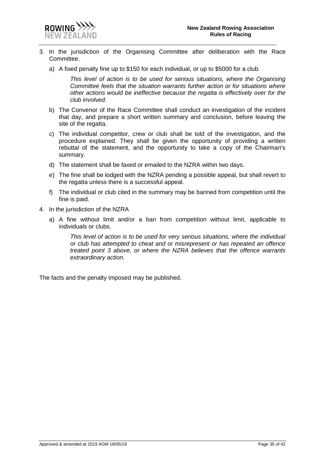



- 3. In the jurisdiction of the Organising Committee after deliberation with the Race Committee.
	- a) A fixed penalty fine up to \$150 for each individual, or up to \$5000 for a club.

*This level of action is to be used for serious situations, where the Organising Committee feels that the situation warrants further action or for situations where other actions would be ineffective because the regatta is effectively over for the club involved.*

- b) The Convenor of the Race Committee shall conduct an investigation of the incident that day, and prepare a short written summary and conclusion, before leaving the site of the regatta.
- c) The individual competitor, crew or club shall be told of the investigation, and the procedure explained. They shall be given the opportunity of providing a written rebuttal of the statement, and the opportunity to take a copy of the Chairman's summary.
- d) The statement shall be faxed or emailed to the NZRA within two days.
- e) The fine shall be lodged with the NZRA pending a possible appeal, but shall revert to the regatta unless there is a successful appeal.
- f) The individual or club cited in the summary may be banned from competition until the fine is paid.
- 4. In the jurisdiction of the NZRA
	- a) A fine without limit and/or a ban from competition without limit, applicable to individuals or clubs.

*This level of action is to be used for very serious situations, where the individual or club has attempted to cheat and or misrepresent or has repeated an offence treated point 3 above, or where the NZRA believes that the offence warrants extraordinary action.*

The facts and the penalty imposed may be published.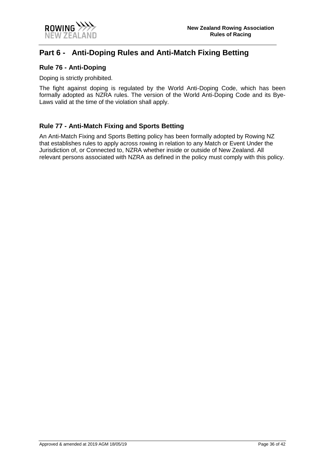

# <span id="page-35-0"></span>**Part 6 - Anti-Doping Rules and Anti-Match Fixing Betting**

#### <span id="page-35-1"></span>**Rule 76 - Anti-Doping**

Doping is strictly prohibited.

The fight against doping is regulated by the World Anti-Doping Code, which has been formally adopted as NZRA rules. The version of the World Anti-Doping Code and its Bye-Laws valid at the time of the violation shall apply.

#### <span id="page-35-2"></span>**Rule 77 - Anti-Match Fixing and Sports Betting**

An Anti-Match Fixing and Sports Betting policy has been formally adopted by Rowing NZ that establishes rules to apply across rowing in relation to any Match or Event Under the Jurisdiction of, or Connected to, NZRA whether inside or outside of New Zealand. All relevant persons associated with NZRA as defined in the policy must comply with this policy.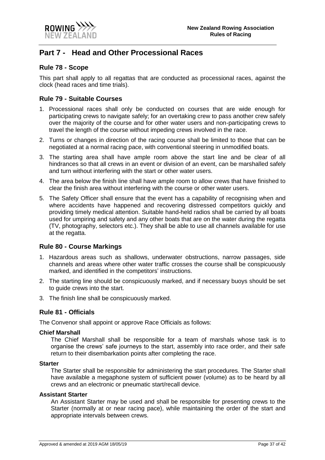

# <span id="page-36-0"></span>**Part 7 - Head and Other Processional Races**

#### <span id="page-36-1"></span>**Rule 78 - Scope**

This part shall apply to all regattas that are conducted as processional races, against the clock (head races and time trials).

#### <span id="page-36-2"></span>**Rule 79 - Suitable Courses**

- 1. Processional races shall only be conducted on courses that are wide enough for participating crews to navigate safely; for an overtaking crew to pass another crew safely over the majority of the course and for other water users and non-participating crews to travel the length of the course without impeding crews involved in the race.
- 2. Turns or changes in direction of the racing course shall be limited to those that can be negotiated at a normal racing pace, with conventional steering in unmodified boats.
- 3. The starting area shall have ample room above the start line and be clear of all hindrances so that all crews in an event or division of an event, can be marshalled safely and turn without interfering with the start or other water users.
- 4. The area below the finish line shall have ample room to allow crews that have finished to clear the finish area without interfering with the course or other water users.
- 5. The Safety Officer shall ensure that the event has a capability of recognising when and where accidents have happened and recovering distressed competitors quickly and providing timely medical attention. Suitable hand-held radios shall be carried by all boats used for umpiring and safety and any other boats that are on the water during the regatta (TV, photography, selectors etc.). They shall be able to use all channels available for use at the regatta.

#### <span id="page-36-3"></span>**Rule 80 - Course Markings**

- 1. Hazardous areas such as shallows, underwater obstructions, narrow passages, side channels and areas where other water traffic crosses the course shall be conspicuously marked, and identified in the competitors' instructions.
- 2. The starting line should be conspicuously marked, and if necessary buoys should be set to guide crews into the start.
- 3. The finish line shall be conspicuously marked.

#### <span id="page-36-4"></span>**Rule 81 - Officials**

The Convenor shall appoint or approve Race Officials as follows:

#### **Chief Marshall**

The Chief Marshall shall be responsible for a team of marshals whose task is to organise the crews' safe journeys to the start, assembly into race order, and their safe return to their disembarkation points after completing the race.

#### **Starter**

The Starter shall be responsible for administering the start procedures. The Starter shall have available a megaphone system of sufficient power (volume) as to be heard by all crews and an electronic or pneumatic start/recall device.

#### **Assistant Starter**

An Assistant Starter may be used and shall be responsible for presenting crews to the Starter (normally at or near racing pace), while maintaining the order of the start and appropriate intervals between crews.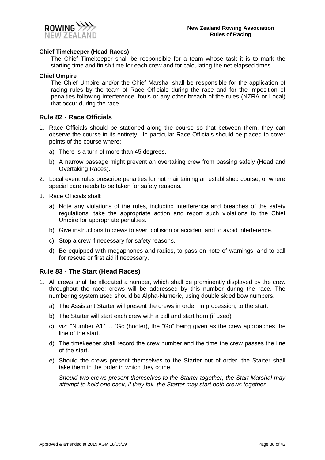

#### **Chief Timekeeper (Head Races)**

The Chief Timekeeper shall be responsible for a team whose task it is to mark the starting time and finish time for each crew and for calculating the net elapsed times.

#### **Chief Umpire**

The Chief Umpire and/or the Chief Marshal shall be responsible for the application of racing rules by the team of Race Officials during the race and for the imposition of penalties following interference, fouls or any other breach of the rules (NZRA or Local) that occur during the race.

#### <span id="page-37-0"></span>**Rule 82 - Race Officials**

- 1. Race Officials should be stationed along the course so that between them, they can observe the course in its entirety. In particular Race Officials should be placed to cover points of the course where:
	- a) There is a turn of more than 45 degrees.
	- b) A narrow passage might prevent an overtaking crew from passing safely (Head and Overtaking Races).
- 2. Local event rules prescribe penalties for not maintaining an established course, or where special care needs to be taken for safety reasons.
- 3. Race Officials shall:
	- a) Note any violations of the rules, including interference and breaches of the safety regulations, take the appropriate action and report such violations to the Chief Umpire for appropriate penalties.
	- b) Give instructions to crews to avert collision or accident and to avoid interference.
	- c) Stop a crew if necessary for safety reasons.
	- d) Be equipped with megaphones and radios, to pass on note of warnings, and to call for rescue or first aid if necessary.

#### <span id="page-37-1"></span>**Rule 83 - The Start (Head Races)**

- 1. All crews shall be allocated a number, which shall be prominently displayed by the crew throughout the race; crews will be addressed by this number during the race. The numbering system used should be Alpha-Numeric, using double sided bow numbers.
	- a) The Assistant Starter will present the crews in order, in procession, to the start.
	- b) The Starter will start each crew with a call and start horn (if used).
	- c) viz: "Number A1" ... "Go"(hooter), the "Go" being given as the crew approaches the line of the start.
	- d) The timekeeper shall record the crew number and the time the crew passes the line of the start.
	- e) Should the crews present themselves to the Starter out of order, the Starter shall take them in the order in which they come.

*Should two crews present themselves to the Starter together, the Start Marshal may attempt to hold one back, if they fail, the Starter may start both crews together.*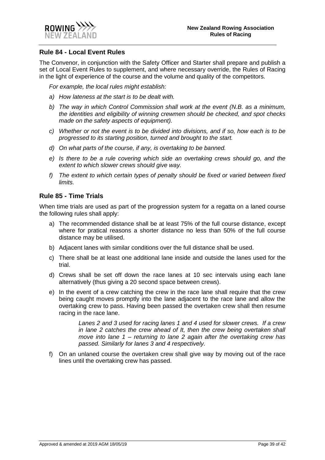

#### <span id="page-38-0"></span>**Rule 84 - Local Event Rules**

The Convenor, in conjunction with the Safety Officer and Starter shall prepare and publish a set of Local Event Rules to supplement, and where necessary override, the Rules of Racing in the light of experience of the course and the volume and quality of the competitors.

*For example, the local rules might establish:* 

- *a) How lateness at the start is to be dealt with.*
- *b) The way in which Control Commission shall work at the event (N.B. as a minimum, the identities and eligibility of winning crewmen should be checked, and spot checks made on the safety aspects of equipment).*
- *c) Whether or not the event is to be divided into divisions, and if so, how each is to be progressed to its starting position, turned and brought to the start.*
- *d) On what parts of the course, if any, is overtaking to be banned.*
- *e) Is there to be a rule covering which side an overtaking crews should go, and the extent to which slower crews should give way.*
- *f) The extent to which certain types of penalty should be fixed or varied between fixed limits.*

#### <span id="page-38-1"></span>**Rule 85 - Time Trials**

When time trials are used as part of the progression system for a regatta on a laned course the following rules shall apply:

- a) The recommended distance shall be at least 75% of the full course distance, except where for pratical reasons a shorter distance no less than 50% of the full course distance may be utilised.
- b) Adjacent lanes with similar conditions over the full distance shall be used.
- c) There shall be at least one additional lane inside and outside the lanes used for the trial.
- d) Crews shall be set off down the race lanes at 10 sec intervals using each lane alternatively (thus giving a 20 second space between crews).
- e) In the event of a crew catching the crew in the race lane shall require that the crew being caught moves promptly into the lane adjacent to the race lane and allow the overtaking crew to pass. Having been passed the overtaken crew shall then resume racing in the race lane.

*Lanes 2 and 3 used for racing lanes 1 and 4 used for slower crews. If a crew in lane 2 catches the crew ahead of It, then the crew being overtaken shall move into lane 1 – returning to lane 2 again after the overtaking crew has passed. Similarly for lanes 3 and 4 respectively.*

f) On an unlaned course the overtaken crew shall give way by moving out of the race lines until the overtaking crew has passed.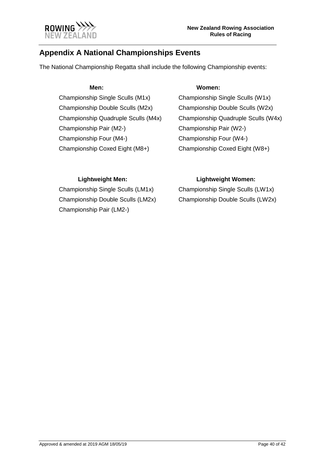

# <span id="page-39-0"></span>**Appendix A National Championships Events**

The National Championship Regatta shall include the following Championship events:

Championship Single Sculls (M1x) Championship Single Sculls (W1x) Championship Double Sculls (M2x) Championship Double Sculls (W2x) Championship Pair (M2-) Championship Pair (W2-) Championship Four (M4-) Championship Four (W4-) Championship Coxed Eight (M8+) Championship Coxed Eight (W8+)

#### **Men: Women:**

Championship Quadruple Sculls (M4x) Championship Quadruple Sculls (W4x)

Championship Single Sculls (LM1x) Championship Single Sculls (LW1x) Championship Double Sculls (LM2x) Championship Double Sculls (LW2x) Championship Pair (LM2-)

### **Lightweight Men: Lightweight Women:**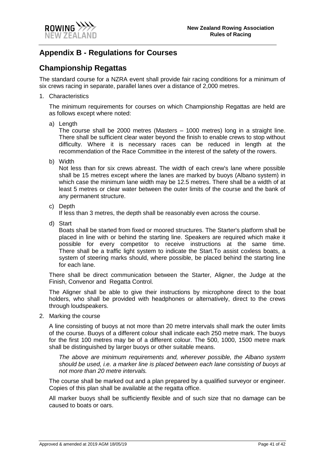

# <span id="page-40-0"></span>**Appendix B - Regulations for Courses**

# **Championship Regattas**

The standard course for a NZRA event shall provide fair racing conditions for a minimum of six crews racing in separate, parallel lanes over a distance of 2,000 metres.

1. Characteristics

The minimum requirements for courses on which Championship Regattas are held are as follows except where noted:

a) Length

The course shall be 2000 metres (Masters – 1000 metres) long in a straight line. There shall be sufficient clear water beyond the finish to enable crews to stop without difficulty. Where it is necessary races can be reduced in length at the recommendation of the Race Committee in the interest of the safety of the rowers.

b) Width

Not less than for six crews abreast. The width of each crew's lane where possible shall be 15 metres except where the lanes are marked by buoys (Albano system) in which case the minimum lane width may be 12.5 metres. There shall be a width of at least 5 metres or clear water between the outer limits of the course and the bank of any permanent structure.

c) Depth

If less than 3 metres, the depth shall be reasonably even across the course.

d) Start

Boats shall be started from fixed or moored structures. The Starter's platform shall be placed in line with or behind the starting line. Speakers are required which make it possible for every competitor to receive instructions at the same time. There shall be a traffic light system to indicate the Start.To assist coxless boats, a system of steering marks should, where possible, be placed behind the starting line for each lane.

There shall be direct communication between the Starter, Aligner, the Judge at the Finish, Convenor and Regatta Control.

The Aligner shall be able to give their instructions by microphone direct to the boat holders, who shall be provided with headphones or alternatively, direct to the crews through loudspeakers.

2. Marking the course

A line consisting of buoys at not more than 20 metre intervals shall mark the outer limits of the course. Buoys of a different colour shall indicate each 250 metre mark. The buoys for the first 100 metres may be of a different colour. The 500, 1000, 1500 metre mark shall be distinguished by larger buoys or other suitable means.

*The above are minimum requirements and, wherever possible, the Albano system should be used, i.e. a marker line is placed between each lane consisting of buoys at not more than 20 metre intervals.*

The course shall be marked out and a plan prepared by a qualified surveyor or engineer. Copies of this plan shall be available at the regatta office.

All marker buoys shall be sufficiently flexible and of such size that no damage can be caused to boats or oars.